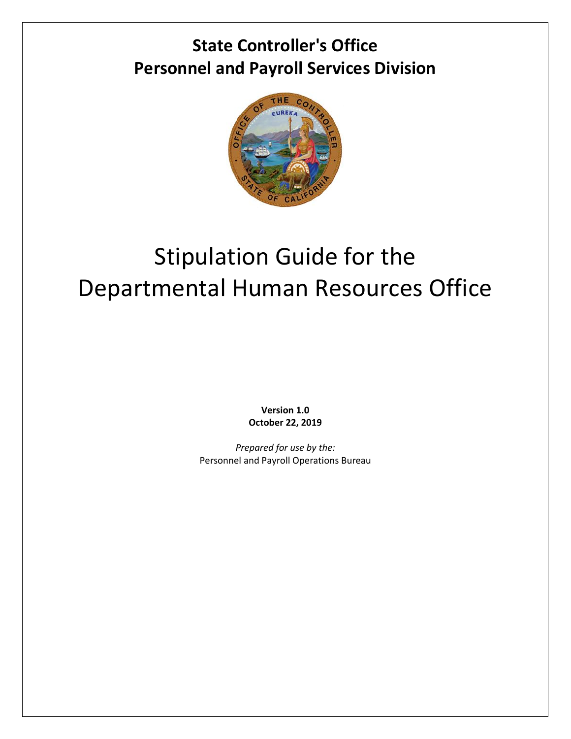## **State Controller's Office Personnel and Payroll Services Division**



# Stipulation Guide for the Departmental Human Resources Office

**Version 1.0 October 22, 2019**

*Prepared for use by the:* Personnel and Payroll Operations Bureau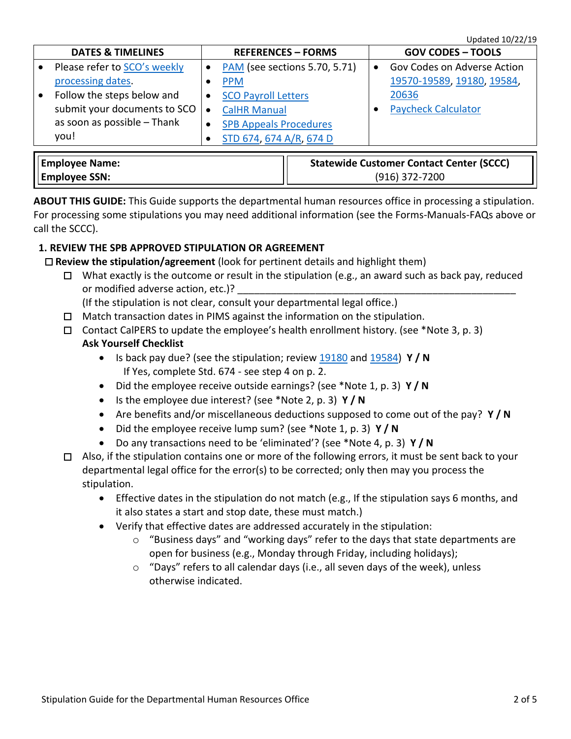|  | <b>DATES &amp; TIMELINES</b> |  | <b>REFERENCES - FORMS</b>     |  | <b>GOV CODES - TOOLS</b>    |  |
|--|------------------------------|--|-------------------------------|--|-----------------------------|--|
|  | Please refer to SCO's weekly |  | PAM (see sections 5.70, 5.71) |  | Gov Codes on Adverse Action |  |
|  | processing dates.            |  | <b>PPM</b>                    |  | 19570-19589, 19180, 19584,  |  |
|  | Follow the steps below and   |  | <b>SCO Payroll Letters</b>    |  | 20636                       |  |
|  | submit your documents to SCO |  | <b>CalHR Manual</b>           |  | <b>Paycheck Calculator</b>  |  |
|  | as soon as possible - Thank  |  | <b>SPB Appeals Procedures</b> |  |                             |  |
|  | you!                         |  | STD 674, 674 A/R, 674 D       |  |                             |  |
|  |                              |  |                               |  |                             |  |

| Employee Name:  | <b>Statewide Customer Contact Center (SCCC)</b> |
|-----------------|-------------------------------------------------|
| ' Employee SSN: | $(916)$ 372-7200                                |

**ABOUT THIS GUIDE:** This Guide supports the departmental human resources office in processing a stipulation. For processing some stipulations you may need additional information (see the Forms-Manuals-FAQs above or call the SCCC).

#### **1. REVIEW THE SPB APPROVED STIPULATION OR AGREEMENT**

- **Review the stipulation/agreement** (look for pertinent details and highlight them)
	- $\Box$  What exactly is the outcome or result in the stipulation (e.g., an award such as back pay, reduced or modified adverse action, etc.)?
		- (If the stipulation is not clear, consult your departmental legal office.)
	- $\Box$  Match transaction dates in PIMS against the information on the stipulation.
	- $\Box$  Contact CalPERS to update the employee's health enrollment history. (see \*Note 3, p. 3) **Ask Yourself Checklist**
		- Is back pay due? (see the stipulation; review [19180](http://leginfo.legislature.ca.gov/faces/codes_displaySection.xhtml?lawCode=GOV§ionNum=19180) an[d 19584\)](http://leginfo.legislature.ca.gov/faces/codes_displaySection.xhtml?lawCode=GOV§ionNum=19584) **Y / N** If Yes, complete Std. 674 - see step 4 on p. 2.
		- Did the employee receive outside earnings? (see \*Note 1, p. 3) **Y / N**
		- Is the employee due interest? (see \*Note 2, p. 3) **Y / N**
		- Are benefits and/or miscellaneous deductions supposed to come out of the pay? **Y / N**
		- Did the employee receive lump sum? (see \*Note 1, p. 3) **Y / N**
		- Do any transactions need to be 'eliminated'? (see \*Note 4, p. 3) **Y / N**
	- $\Box$  Also, if the stipulation contains one or more of the following errors, it must be sent back to your departmental legal office for the error(s) to be corrected; only then may you process the stipulation.
		- Effective dates in the stipulation do not match (e.g., If the stipulation says 6 months, and it also states a start and stop date, these must match.)
		- Verify that effective dates are addressed accurately in the stipulation:
			- $\circ$  "Business days" and "working days" refer to the days that state departments are open for business (e.g., Monday through Friday, including holidays);
			- o "Days" refers to all calendar days (i.e., all seven days of the week), unless otherwise indicated.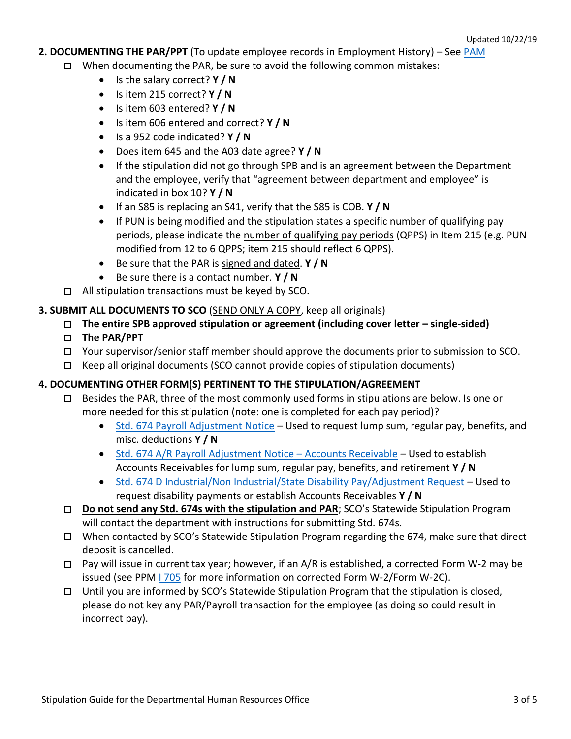### **2. DOCUMENTING THE PAR/PPT** (To update employee records in Employment History) – See [PAM](https://www.sco.ca.gov/ppsd_pam.html)

- $\Box$  When documenting the PAR, be sure to avoid the following common mistakes:
	- Is the salary correct? **Y / N**
	- Is item 215 correct? **Y / N**
	- Is item 603 entered? **Y / N**
	- Is item 606 entered and correct? **Y / N**
	- Is a 952 code indicated? **Y / N**
	- Does item 645 and the A03 date agree? **Y / N**
	- If the stipulation did not go through SPB and is an agreement between the Department and the employee, verify that "agreement between department and employee" is indicated in box 10? **Y / N**
	- If an S85 is replacing an S41, verify that the S85 is COB. **Y / N**
	- If PUN is being modified and the stipulation states a specific number of qualifying pay periods, please indicate the number of qualifying pay periods (QPPS) in Item 215 (e.g. PUN modified from 12 to 6 QPPS; item 215 should reflect 6 QPPS).
	- Be sure that the PAR is signed and dated. **Y / N**
	- Be sure there is a contact number. **Y / N**
- $\Box$  All stipulation transactions must be keyed by SCO.

#### **3. SUBMIT ALL DOCUMENTS TO SCO** (SEND ONLY A COPY, keep all originals)

**The entire SPB approved stipulation or agreement (including cover letter – single-sided)**

#### **The PAR/PPT**

- $\Box$  Your supervisor/senior staff member should approve the documents prior to submission to SCO.
- $\Box$  Keep all original documents (SCO cannot provide copies of stipulation documents)

#### **4. DOCUMENTING OTHER FORM(S) PERTINENT TO THE STIPULATION/AGREEMENT**

- $\Box$  Besides the PAR, three of the most commonly used forms in stipulations are below. Is one or more needed for this stipulation (note: one is completed for each pay period)?
	- Std. 674 [Payroll Adjustment Notice](https://www.documents.dgs.ca.gov/dgs/fmc/pdf/std674.pdf) Used to request lump sum, regular pay, benefits, and misc. deductions **Y / N**
	- Std. 674 A/R [Payroll Adjustment Notice](https://www.documents.dgs.ca.gov/dgs/fmc/pdf/std674AR.pdf)  Accounts Receivable Used to establish Accounts Receivables for lump sum, regular pay, benefits, and retirement **Y / N**
	- Std. 674 [D Industrial/Non Industrial/State Disability Pay/Adjustment Request](https://www.documents.dgs.ca.gov/dgs/fmc/pdf/std674D.pdf) Used to request disability payments or establish Accounts Receivables **Y / N**
- **Do not send any Std. 674s with the stipulation and PAR**; SCO's Statewide Stipulation Program will contact the department with instructions for submitting Std. 674s.
- □ When contacted by SCO's Statewide Stipulation Program regarding the 674, make sure that direct deposit is cancelled.
- $\Box$  Pay will issue in current tax year; however, if an A/R is established, a corrected Form W-2 may be issued (see PPM [I 705](https://www.sco.ca.gov/Files-PPSD/PPM/PPM_Section_I_General_2019_0807..pdf) for more information on corrected Form W-2/Form W-2C).
- $\Box$  Until you are informed by SCO's Statewide Stipulation Program that the stipulation is closed, please do not key any PAR/Payroll transaction for the employee (as doing so could result in incorrect pay).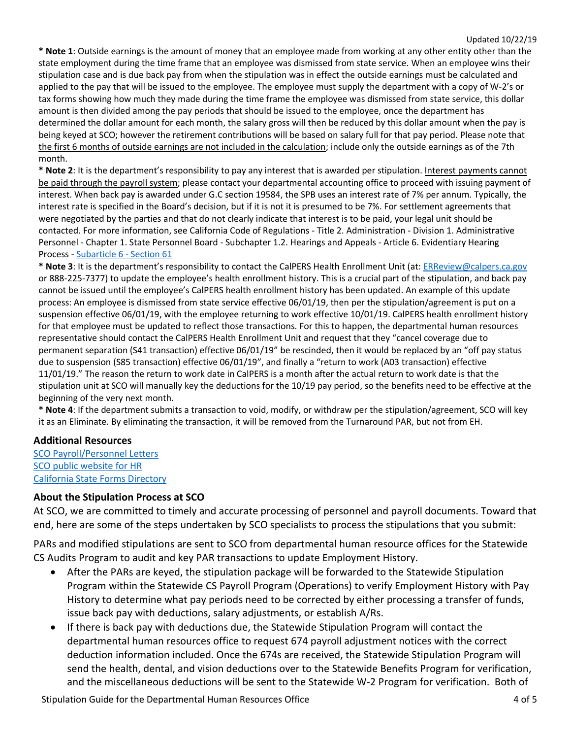**\* Note 1**: Outside earnings is the amount of money that an employee made from working at any other entity other than the state employment during the time frame that an employee was dismissed from state service. When an employee wins their stipulation case and is due back pay from when the stipulation was in effect the outside earnings must be calculated and applied to the pay that will be issued to the employee. The employee must supply the department with a copy of W-2's or tax forms showing how much they made during the time frame the employee was dismissed from state service, this dollar amount is then divided among the pay periods that should be issued to the employee, once the department has determined the dollar amount for each month, the salary gross will then be reduced by this dollar amount when the pay is being keyed at SCO; however the retirement contributions will be based on salary full for that pay period. Please note that the first 6 months of outside earnings are not included in the calculation; include only the outside earnings as of the 7th month.

**\* Note 2**: It is the department's responsibility to pay any interest that is awarded per stipulation. Interest payments cannot be paid through the payroll system; please contact your departmental accounting office to proceed with issuing payment of interest. When back pay is awarded under G.C section 19584, the SPB uses an interest rate of 7% per annum. Typically, the interest rate is specified in the Board's decision, but if it is not it is presumed to be 7%. For settlement agreements that were negotiated by the parties and that do not clearly indicate that interest is to be paid, your legal unit should be contacted. For more information, see California Code of Regulations - Title 2. Administration - Division 1. Administrative Personnel - Chapter 1. State Personnel Board - Subchapter 1.2. Hearings and Appeals - Article 6. Evidentiary Hearing Process - [Subarticle 6](https://govt.westlaw.com/calregs/Document/I994F0D90A93211E2AF42DADA3955671E?viewType=FullText&originationContext=documenttoc&transitionType=CategoryPageItem&contextData=(sc.Default)) - Section 61

**\* Note 3**: It is the department's responsibility to contact the CalPERS Health Enrollment Unit (at: [ERReview@calpers.ca.gov](mailto:ERReview@calpers.ca.gov) or 888-225-7377) to update the employee's health enrollment history. This is a crucial part of the stipulation, and back pay cannot be issued until the employee's CalPERS health enrollment history has been updated. An example of this update process: An employee is dismissed from state service effective 06/01/19, then per the stipulation/agreement is put on a suspension effective 06/01/19, with the employee returning to work effective 10/01/19. CalPERS health enrollment history for that employee must be updated to reflect those transactions. For this to happen, the departmental human resources representative should contact the CalPERS Health Enrollment Unit and request that they "cancel coverage due to permanent separation (S41 transaction) effective 06/01/19" be rescinded, then it would be replaced by an "off pay status due to suspension (S85 transaction) effective 06/01/19", and finally a "return to work (A03 transaction) effective 11/01/19." The reason the return to work date in CalPERS is a month after the actual return to work date is that the stipulation unit at SCO will manually key the deductions for the 10/19 pay period, so the benefits need to be effective at the beginning of the very next month.

**\* Note 4**: If the department submits a transaction to void, modify, or withdraw per the stipulation/agreement, SCO will key it as an Eliminate. By eliminating the transaction, it will be removed from the Turnaround PAR, but not from EH.

#### **Additional Resources**

[SCO Payroll/Personnel Letters](https://www.sco.ca.gov/ppsd_sco_letters.html) [SCO public website for HR](https://www.sco.ca.gov/ppsd_state_hr.html) [California State Forms Directory](https://www.dgsapps.dgs.ca.gov/osp/StatewideFormsWeb/Forms.aspx)

#### **About the Stipulation Process at SCO**

At SCO, we are committed to timely and accurate processing of personnel and payroll documents. Toward that end, here are some of the steps undertaken by SCO specialists to process the stipulations that you submit:

PARs and modified stipulations are sent to SCO from departmental human resource offices for the Statewide CS Audits Program to audit and key PAR transactions to update Employment History.

- After the PARs are keyed, the stipulation package will be forwarded to the Statewide Stipulation Program within the Statewide CS Payroll Program (Operations) to verify Employment History with Pay History to determine what pay periods need to be corrected by either processing a transfer of funds, issue back pay with deductions, salary adjustments, or establish A/Rs.
- If there is back pay with deductions due, the Statewide Stipulation Program will contact the departmental human resources office to request 674 payroll adjustment notices with the correct deduction information included. Once the 674s are received, the Statewide Stipulation Program will send the health, dental, and vision deductions over to the Statewide Benefits Program for verification, and the miscellaneous deductions will be sent to the Statewide W-2 Program for verification. Both of